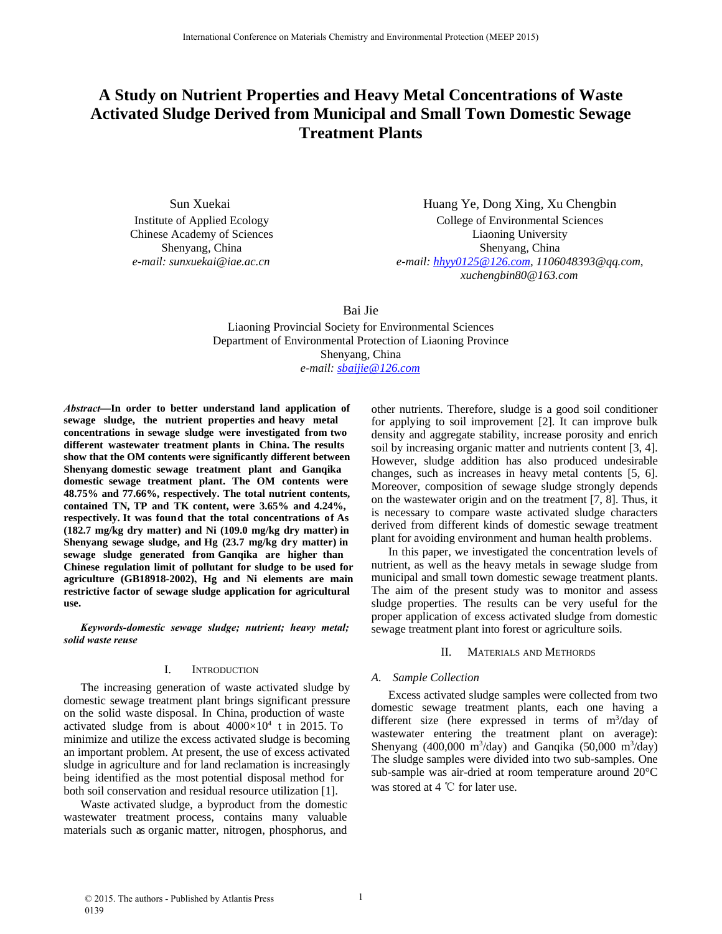# **A Study on Nutrient Properties and Heavy Metal Concentrations of Waste Activated Sludge Derived from Municipal and Small Town Domestic Sewage Treatment Plants**

Sun Xuekai Institute of Applied Ecology Chinese Academy of Sciences Shenyang, China *e-mail: sunxuekai@iae.ac.cn*

Huang Ye, Dong Xing, Xu Chengbin College of Environmental Sciences Liaoning University Shenyang, China *e-mail: hhyy0125@126.com*, *1106048393@qq.com*, *xuchengbin80@163.com*

Bai Jie

Liaoning Provincial Society for Environmental Sciences Department of Environmental Protection of Liaoning Province Shenyang, China *e-mail: sbaijie@126.com*

*Abstract***—In order to better understand land application of sewage sludge, the nutrient properties and heavy metal concentrations in sewage sludge were investigated from two different wastewater treatment plants in China. The results show that the OM contents were significantly different between Shenyang domestic sewage treatment plant and Ganqika domestic sewage treatment plant. The OM contents were 48.75% and 77.66%, respectively. The total nutrient contents, contained TN, TP and TK content, were 3.65% and 4.24%, respectively. It was found that the total concentrations of As (182.7 mg/kg dry matter) and Ni (109.0 mg/kg dry matter) in Shenyang sewage sludge, and Hg (23.7 mg/kg dry matter) in sewage sludge generated from Ganqika are higher than Chinese regulation limit of pollutant for sludge to be used for agriculture (GB18918-2002), Hg and Ni elements are main restrictive factor of sewage sludge application for agricultural use.**

*Keywords-domestic sewage sludge; nutrient; heavy metal; solid waste reuse*

#### I. INTRODUCTION

The increasing generation of waste activated sludge by domestic sewage treatment plant brings significant pressure on the solid waste disposal. In China, production of waste activated sludge from is about  $4000\times10^4$  t in 2015. To minimize and utilize the excess activated sludge is becoming an important problem. At present, the use of excess activated sludge in agriculture and for land reclamation is increasingly being identified as the most potential disposal method for both soil conservation and residual resource utilization [1].

Waste activated sludge, a byproduct from the domestic wastewater treatment process, contains many valuable materials such as organic matter, nitrogen, phosphorus, and other nutrients. Therefore, sludge is a good soil conditioner for applying to soil improvement [2]. It can improve bulk density and aggregate stability, increase porosity and enrich soil by increasing organic matter and nutrients content [3, 4]. However, sludge addition has also produced undesirable changes, such as increases in heavy metal contents [5, 6]. Moreover, composition of sewage sludge strongly depends on the wastewater origin and on the treatment [7, 8]. Thus, it is necessary to compare waste activated sludge characters derived from different kinds of domestic sewage treatment plant for avoiding environment and human health problems.

In this paper, we investigated the concentration levels of nutrient, as well as the heavy metals in sewage sludge from municipal and small town domestic sewage treatment plants. The aim of the present study was to monitor and assess sludge properties. The results can be very useful for the proper application of excess activated sludge from domestic sewage treatment plant into forest or agriculture soils.

### II. MATERIALS AND METHORDS

### *A. Sample Collection*

Excess activated sludge samples were collected from two domestic sewage treatment plants, each one having a different size (here expressed in terms of m<sup>3</sup>/day of wastewater entering the treatment plant on average): Shenyang (400,000 m<sup>3</sup>/day) and Ganqika (50,000 m<sup>3</sup>/day) The sludge samples were divided into two sub-samples. One sub-sample was air-dried at room temperature around 20°C was stored at 4 ℃ for later use.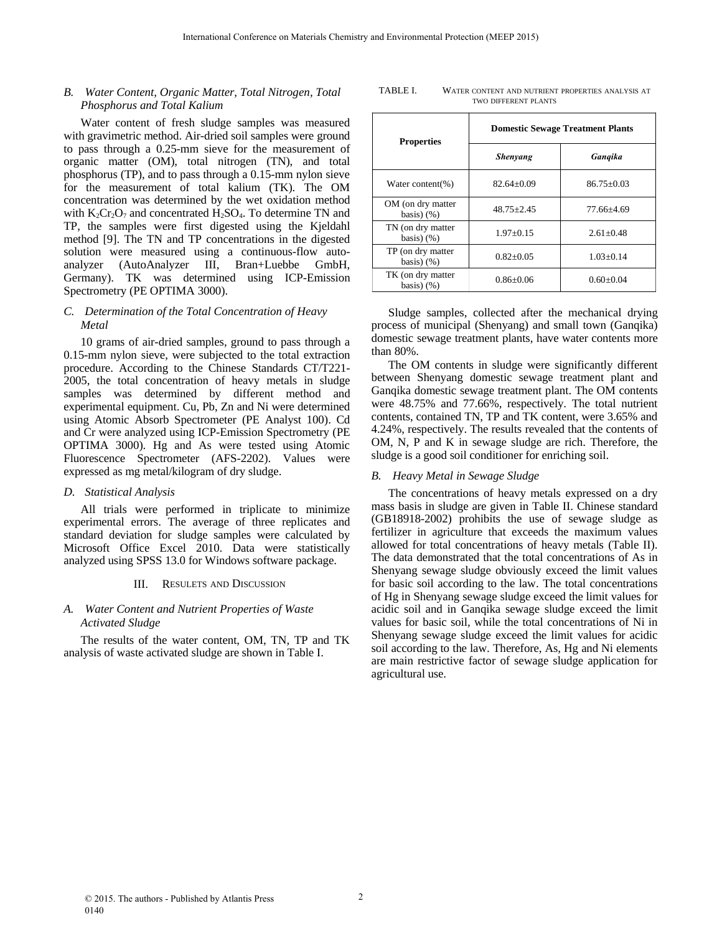# *B. Water Content, Organic Matter, Total Nitrogen, Total Phosphorus and Total Kalium*

Water content of fresh sludge samples was measured with gravimetric method. Air-dried soil samples were ground to pass through a 0.25-mm sieve for the measurement of organic matter (OM), total nitrogen (TN), and total phosphorus (TP), and to pass through a 0.15-mm nylon sieve for the measurement of total kalium (TK). The OM concentration was determined by the wet oxidation method with  $K_2Cr_2O_7$  and concentrated  $H_2SO_4$ . To determine TN and TP, the samples were first digested using the Kjeldahl method [9]. The TN and TP concentrations in the digested solution were measured using a continuous-flow autoanalyzer (AutoAnalyzer III, Bran+Luebbe GmbH, Germany). TK was determined using ICP-Emission Spectrometry (PE OPTIMA 3000).

## *C. Determination of the Total Concentration of Heavy Metal*

10 grams of air-dried samples, ground to pass through a 0.15-mm nylon sieve, were subjected to the total extraction procedure. According to the Chinese Standards CT/T221- 2005, the total concentration of heavy metals in sludge samples was determined by different method and experimental equipment. Cu, Pb, Zn and Ni were determined using Atomic Absorb Spectrometer (PE Analyst 100). Cd and Cr were analyzed using ICP-Emission Spectrometry (PE OPTIMA 3000). Hg and As were tested using Atomic Fluorescence Spectrometer (AFS-2202). Values were expressed as mg metal/kilogram of dry sludge.

## *D. Statistical Analysis*

All trials were performed in triplicate to minimize experimental errors. The average of three replicates and standard deviation for sludge samples were calculated by Microsoft Office Excel 2010. Data were statistically analyzed using SPSS 13.0 for Windows software package.

### III. RESULETS AND DISCUSSION

## *A. Water Content and Nutrient Properties of Waste Activated Sludge*

The results of the water content, OM, TN, TP and TK analysis of waste activated sludge are shown in Table I.

TABLE I. WATER CONTENT AND NUTRIENT PROPERTIES ANALYSIS AT TWO DIFFERENT PLANTS

| <b>Properties</b>                   | <b>Domestic Sewage Treatment Plants</b> |                |  |
|-------------------------------------|-----------------------------------------|----------------|--|
|                                     | <b>Shenyang</b>                         | Gangika        |  |
| Water content(%)                    | $82.64 + 0.09$                          | $86.75 + 0.03$ |  |
| OM (on dry matter<br>basis $(y_6)$  | $48.75 + 2.45$                          | 77.66+4.69     |  |
| TN (on dry matter<br>basis $(y_6)$  | $1.97+0.15$                             | $2.61 + 0.48$  |  |
| TP (on dry matter)<br>basis $(y_6)$ | $0.82 + 0.05$                           | $1.03+0.14$    |  |
| TK (on dry matter<br>basis $(y_6)$  | $0.86 + 0.06$                           | $0.60 + 0.04$  |  |

Sludge samples, collected after the mechanical drying process of municipal (Shenyang) and small town (Ganqika) domestic sewage treatment plants, have water contents more than 80%.

The OM contents in sludge were significantly different between Shenyang domestic sewage treatment plant and Ganqika domestic sewage treatment plant. The OM contents were 48.75% and 77.66%, respectively. The total nutrient contents, contained TN, TP and TK content, were 3.65% and 4.24%, respectively. The results revealed that the contents of OM, N, P and K in sewage sludge are rich. Therefore, the sludge is a good soil conditioner for enriching soil.

### *B. Heavy Metal in Sewage Sludge*

The concentrations of heavy metals expressed on a dry mass basis in sludge are given in Table II. Chinese standard (GB18918-2002) prohibits the use of sewage sludge as fertilizer in agriculture that exceeds the maximum values allowed for total concentrations of heavy metals (Table II). The data demonstrated that the total concentrations of As in Shenyang sewage sludge obviously exceed the limit values for basic soil according to the law. The total concentrations of Hg in Shenyang sewage sludge exceed the limit values for acidic soil and in Ganqika sewage sludge exceed the limit values for basic soil, while the total concentrations of Ni in Shenyang sewage sludge exceed the limit values for acidic soil according to the law. Therefore, As, Hg and Ni elements are main restrictive factor of sewage sludge application for agricultural use.